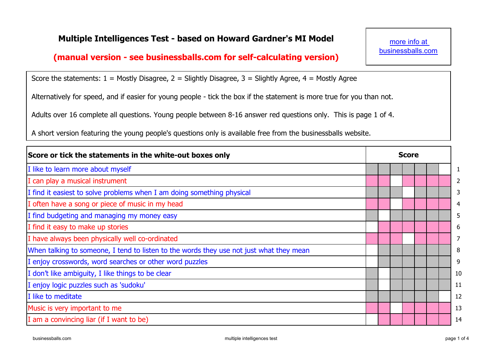## **Multiple Intelligences Test - based on Howard Gardner's MI Model**

## **(manual version - see businessballs.com for self-calculating version)**

more info at businessballs.com

Score the statements:  $1 =$  Mostly Disagree,  $2 =$  Slightly Disagree,  $3 =$  Slightly Agree,  $4 =$  Mostly Agree

Alternatively for speed, and if easier for young people - tick the box if the statement is more true for you than not.

Adults over 16 complete all questions. Young people between 8-16 answer red questions only. This is page 1 of 4.

A short version featuring the young people's questions only is available free from the businessballs website.

| Score or tick the statements in the white-out boxes only                                |  |  | <b>Score</b> |  |  |                |
|-----------------------------------------------------------------------------------------|--|--|--------------|--|--|----------------|
| I like to learn more about myself                                                       |  |  |              |  |  | $\mathbf{1}$   |
| can play a musical instrument                                                           |  |  |              |  |  | $\overline{2}$ |
| I find it easiest to solve problems when I am doing something physical                  |  |  |              |  |  | 3              |
| I often have a song or piece of music in my head                                        |  |  |              |  |  | 4              |
| I find budgeting and managing my money easy                                             |  |  |              |  |  | 5              |
| I find it easy to make up stories                                                       |  |  |              |  |  | 6              |
| I have always been physically well co-ordinated                                         |  |  |              |  |  | $\overline{7}$ |
| When talking to someone, I tend to listen to the words they use not just what they mean |  |  |              |  |  | 8              |
| I enjoy crosswords, word searches or other word puzzles                                 |  |  |              |  |  | 9              |
| I don't like ambiguity, I like things to be clear                                       |  |  |              |  |  | 10             |
| I enjoy logic puzzles such as 'sudoku'                                                  |  |  |              |  |  | 11             |
| I like to meditate                                                                      |  |  |              |  |  | 12             |
| Music is very important to me                                                           |  |  |              |  |  | 13             |
| I am a convincing liar (if I want to be)                                                |  |  |              |  |  | 14             |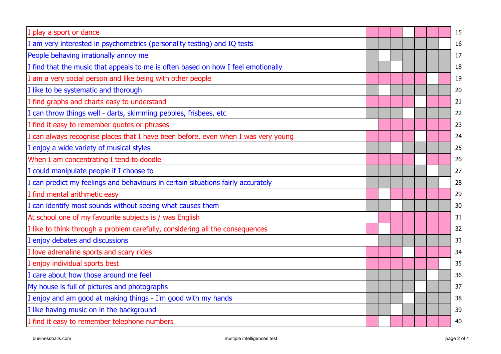| play a sport or dance                                                             |  |  |  | 15 |
|-----------------------------------------------------------------------------------|--|--|--|----|
| am very interested in psychometrics (personality testing) and IQ tests            |  |  |  | 16 |
| People behaving irrationally annoy me                                             |  |  |  | 17 |
| I find that the music that appeals to me is often based on how I feel emotionally |  |  |  | 18 |
| I am a very social person and like being with other people                        |  |  |  | 19 |
| I like to be systematic and thorough                                              |  |  |  | 20 |
| I find graphs and charts easy to understand                                       |  |  |  | 21 |
| I can throw things well - darts, skimming pebbles, frisbees, etc                  |  |  |  | 22 |
| I find it easy to remember quotes or phrases                                      |  |  |  | 23 |
| I can always recognise places that I have been before, even when I was very young |  |  |  | 24 |
| enjoy a wide variety of musical styles                                            |  |  |  | 25 |
| When I am concentrating I tend to doodle                                          |  |  |  | 26 |
| I could manipulate people if I choose to                                          |  |  |  | 27 |
| can predict my feelings and behaviours in certain situations fairly accurately    |  |  |  | 28 |
| I find mental arithmetic easy                                                     |  |  |  | 29 |
| I can identify most sounds without seeing what causes them                        |  |  |  | 30 |
| At school one of my favourite subjects is / was English                           |  |  |  | 31 |
| I like to think through a problem carefully, considering all the consequences     |  |  |  | 32 |
| enjoy debates and discussions                                                     |  |  |  | 33 |
| I love adrenaline sports and scary rides                                          |  |  |  | 34 |
| I enjoy individual sports best                                                    |  |  |  | 35 |
| I care about how those around me feel                                             |  |  |  | 36 |
| My house is full of pictures and photographs                                      |  |  |  | 37 |
| I enjoy and am good at making things - I'm good with my hands                     |  |  |  | 38 |
| I like having music on in the background                                          |  |  |  | 39 |
| I find it easy to remember telephone numbers                                      |  |  |  | 40 |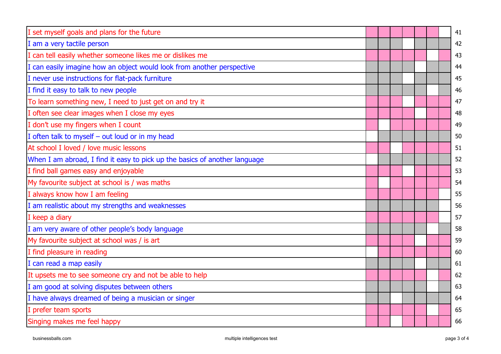| I set myself goals and plans for the future                                |  |  |  | 41 |
|----------------------------------------------------------------------------|--|--|--|----|
| I am a very tactile person                                                 |  |  |  | 42 |
| I can tell easily whether someone likes me or dislikes me                  |  |  |  | 43 |
| can easily imagine how an object would look from another perspective       |  |  |  | 44 |
| I never use instructions for flat-pack furniture                           |  |  |  | 45 |
| I find it easy to talk to new people                                       |  |  |  | 46 |
| To learn something new, I need to just get on and try it                   |  |  |  | 47 |
| I often see clear images when I close my eyes                              |  |  |  | 48 |
| I don't use my fingers when I count                                        |  |  |  | 49 |
| I often talk to myself - out loud or in my head                            |  |  |  | 50 |
| At school I loved / love music lessons                                     |  |  |  | 51 |
| When I am abroad, I find it easy to pick up the basics of another language |  |  |  | 52 |
| I find ball games easy and enjoyable                                       |  |  |  | 53 |
| My favourite subject at school is / was maths                              |  |  |  | 54 |
| I always know how I am feeling                                             |  |  |  | 55 |
| I am realistic about my strengths and weaknesses                           |  |  |  | 56 |
| I keep a diary                                                             |  |  |  | 57 |
| I am very aware of other people's body language                            |  |  |  | 58 |
| My favourite subject at school was / is art                                |  |  |  | 59 |
| I find pleasure in reading                                                 |  |  |  | 60 |
| I can read a map easily                                                    |  |  |  | 61 |
| It upsets me to see someone cry and not be able to help                    |  |  |  | 62 |
| I am good at solving disputes between others                               |  |  |  | 63 |
| I have always dreamed of being a musician or singer                        |  |  |  | 64 |
| I prefer team sports                                                       |  |  |  | 65 |
| Singing makes me feel happy                                                |  |  |  | 66 |